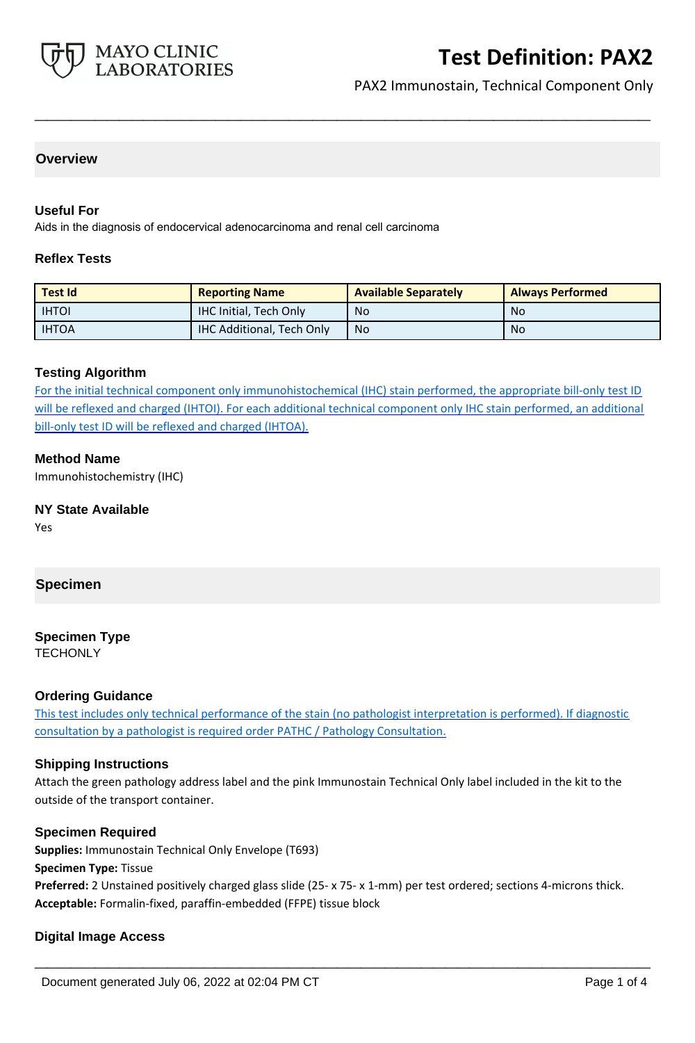

# **Test Definition: PAX2**

PAX2 Immunostain, Technical Component Only

#### **Overview**

#### **Useful For**

Aids in the diagnosis of endocervical adenocarcinoma and renal cell carcinoma

#### **Reflex Tests**

| <b>Test Id</b> | <b>Reporting Name</b>            | <b>Available Separately</b> | <b>Always Performed</b> |
|----------------|----------------------------------|-----------------------------|-------------------------|
| <b>IHTOI</b>   | IHC Initial, Tech Only           | No                          | No                      |
| <b>IHTOA</b>   | <b>IHC Additional, Tech Only</b> | <b>No</b>                   | No                      |

**\_\_\_\_\_\_\_\_\_\_\_\_\_\_\_\_\_\_\_\_\_\_\_\_\_\_\_\_\_\_\_\_\_\_\_\_\_\_\_\_\_\_\_\_\_\_\_\_\_\_\_**

#### **Testing Algorithm**

For the initial technical component only immunohistochemical (IHC) stain performed, the appropriate bill-only test ID will be reflexed and charged (IHTOI). For each additional technical component only IHC stain performed, an additional bill-only test ID will be reflexed and charged (IHTOA).

#### **Method Name**

Immunohistochemistry (IHC)

#### **NY State Available**

Yes

#### **Specimen**

#### **Specimen Type**

**TECHONLY** 

#### **Ordering Guidance**

This test includes only technical performance of the stain (no pathologist interpretation is performed). If diagnostic consultation by a pathologist is required order PATHC / Pathology Consultation.

#### **Shipping Instructions**

Attach the green pathology address label and the pink Immunostain Technical Only label included in the kit to the outside of the transport container.

#### **Specimen Required**

**Supplies:** Immunostain Technical Only Envelope (T693) **Specimen Type:** Tissue **Preferred:** 2 Unstained positively charged glass slide (25- x 75- x 1-mm) per test ordered; sections 4-microns thick. **Acceptable:** Formalin-fixed, paraffin-embedded (FFPE) tissue block

**\_\_\_\_\_\_\_\_\_\_\_\_\_\_\_\_\_\_\_\_\_\_\_\_\_\_\_\_\_\_\_\_\_\_\_\_\_\_\_\_\_\_\_\_\_\_\_\_\_\_\_**

#### **Digital Image Access**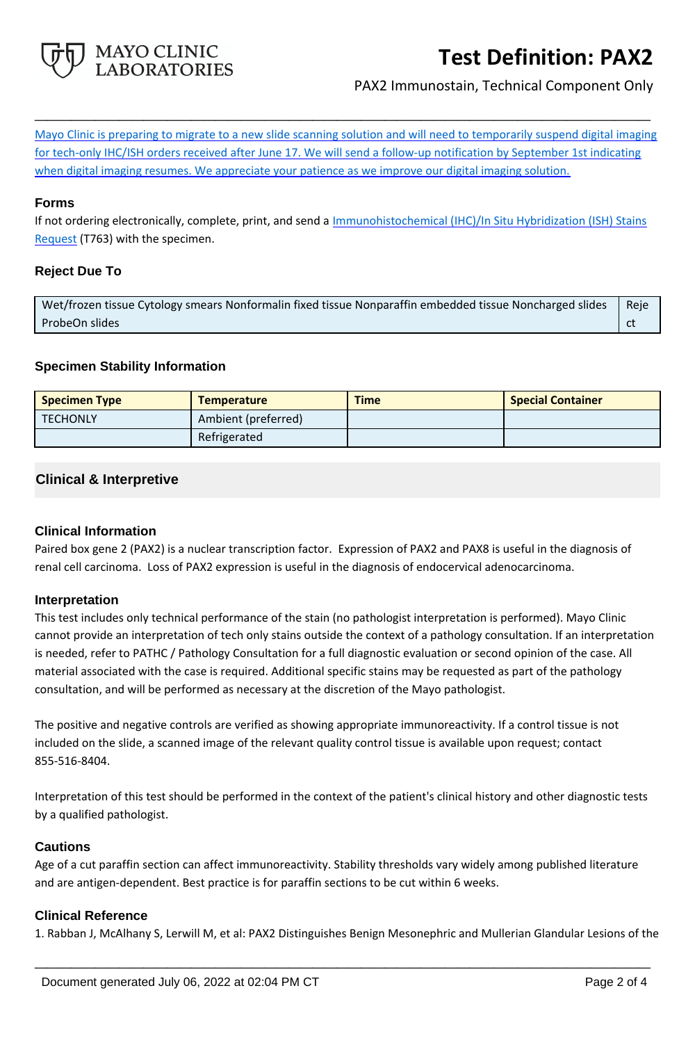

# **Test Definition: PAX2**

PAX2 Immunostain, Technical Component Only

Mayo Clinic is preparing to migrate to a new slide scanning solution and will need to temporarily suspend digital imaging for tech-only IHC/ISH orders received after June 17. We will send a follow-up notification by September 1st indicating when digital imaging resumes. We appreciate your patience as we improve our digital imaging solution.

**\_\_\_\_\_\_\_\_\_\_\_\_\_\_\_\_\_\_\_\_\_\_\_\_\_\_\_\_\_\_\_\_\_\_\_\_\_\_\_\_\_\_\_\_\_\_\_\_\_\_\_**

#### **Forms**

If not ordering electronically, complete, print, and send a *Immunohistochemical (IHC)/In Situ Hybridization (ISH) Stains* [Request](https://www.mayocliniclabs.com/it-mmfiles/ihc-and-ish-stain-request-form-mc0767-09a.pdf) (T763) with the specimen.

#### **Reject Due To**

Wet/frozen tissue Cytology smears Nonformalin fixed tissue Nonparaffin embedded tissue Noncharged slides ProbeOn slides Reje ct

#### **Specimen Stability Information**

| <b>Specimen Type</b> | <b>Temperature</b>  | <b>Time</b> | <b>Special Container</b> |
|----------------------|---------------------|-------------|--------------------------|
| <b>TECHONLY</b>      | Ambient (preferred) |             |                          |
|                      | Refrigerated        |             |                          |

### **Clinical & Interpretive**

#### **Clinical Information**

Paired box gene 2 (PAX2) is a nuclear transcription factor. Expression of PAX2 and PAX8 is useful in the diagnosis of renal cell carcinoma. Loss of PAX2 expression is useful in the diagnosis of endocervical adenocarcinoma.

#### **Interpretation**

This test includes only technical performance of the stain (no pathologist interpretation is performed). Mayo Clinic cannot provide an interpretation of tech only stains outside the context of a pathology consultation. If an interpretation is needed, refer to PATHC / Pathology Consultation for a full diagnostic evaluation or second opinion of the case. All material associated with the case is required. Additional specific stains may be requested as part of the pathology consultation, and will be performed as necessary at the discretion of the Mayo pathologist.

The positive and negative controls are verified as showing appropriate immunoreactivity. If a control tissue is not included on the slide, a scanned image of the relevant quality control tissue is available upon request; contact 855-516-8404.

Interpretation of this test should be performed in the context of the patient's clinical history and other diagnostic tests by a qualified pathologist.

#### **Cautions**

Age of a cut paraffin section can affect immunoreactivity. Stability thresholds vary widely among published literature and are antigen-dependent. Best practice is for paraffin sections to be cut within 6 weeks.

#### **Clinical Reference**

1. Rabban J, McAlhany S, Lerwill M, et al: PAX2 Distinguishes Benign Mesonephric and Mullerian Glandular Lesions of the

**\_\_\_\_\_\_\_\_\_\_\_\_\_\_\_\_\_\_\_\_\_\_\_\_\_\_\_\_\_\_\_\_\_\_\_\_\_\_\_\_\_\_\_\_\_\_\_\_\_\_\_**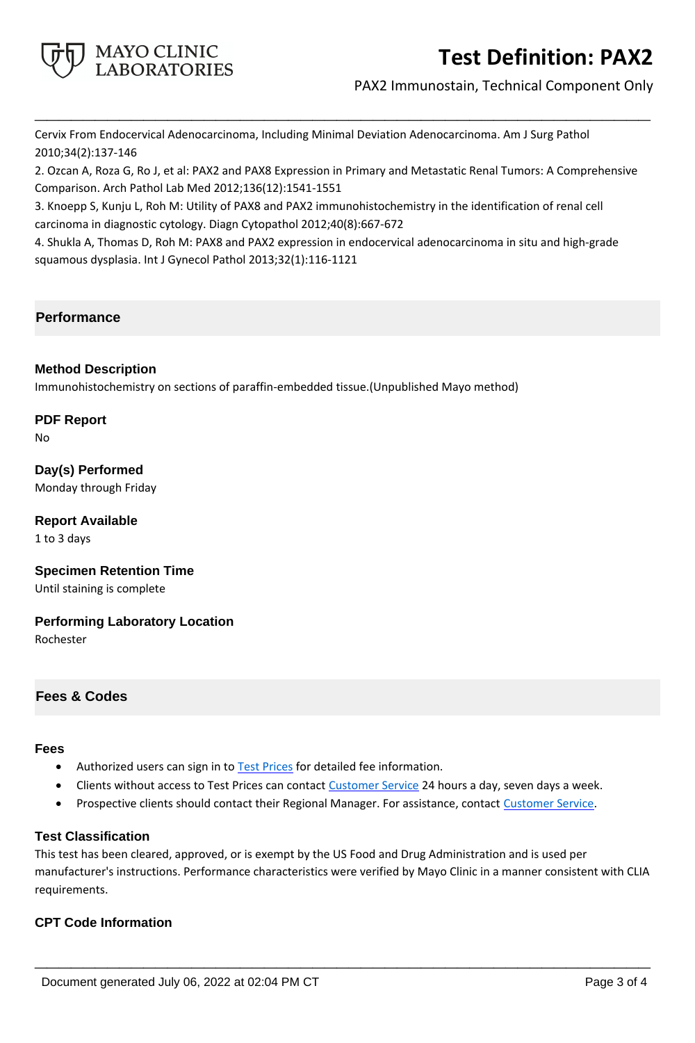

# **Test Definition: PAX2**

PAX2 Immunostain, Technical Component Only

Cervix From Endocervical Adenocarcinoma, Including Minimal Deviation Adenocarcinoma. Am J Surg Pathol 2010;34(2):137-146

2. Ozcan A, Roza G, Ro J, et al: PAX2 and PAX8 Expression in Primary and Metastatic Renal Tumors: A Comprehensive Comparison. Arch Pathol Lab Med 2012;136(12):1541-1551

**\_\_\_\_\_\_\_\_\_\_\_\_\_\_\_\_\_\_\_\_\_\_\_\_\_\_\_\_\_\_\_\_\_\_\_\_\_\_\_\_\_\_\_\_\_\_\_\_\_\_\_**

3. Knoepp S, Kunju L, Roh M: Utility of PAX8 and PAX2 immunohistochemistry in the identification of renal cell carcinoma in diagnostic cytology. Diagn Cytopathol 2012;40(8):667-672

4. Shukla A, Thomas D, Roh M: PAX8 and PAX2 expression in endocervical adenocarcinoma in situ and high-grade squamous dysplasia. Int J Gynecol Pathol 2013;32(1):116-1121

## **Performance**

#### **Method Description**

Immunohistochemistry on sections of paraffin-embedded tissue.(Unpublished Mayo method)

## **PDF Report**

No

**Day(s) Performed** Monday through Friday

**Report Available** 1 to 3 days

**Specimen Retention Time** Until staining is complete

**Performing Laboratory Location** Rochester

#### **Fees & Codes**

## **Fees**

- Authorized users can sign in to [Test Prices](https://www.mayocliniclabs.com/customer-service/client-price-lookup/index.html?unit_code=PAX2) for detailed fee information.
- Clients without access to Test Prices can contact [Customer Service](http://www.mayocliniclabs.com/customer-service/contacts.html) 24 hours a day, seven days a week.
- Prospective clients should contact their Regional Manager. For assistance, contact [Customer Service.](http://www.mayocliniclabs.com/customer-service/contacts.html)

## **Test Classification**

This test has been cleared, approved, or is exempt by the US Food and Drug Administration and is used per manufacturer's instructions. Performance characteristics were verified by Mayo Clinic in a manner consistent with CLIA requirements.

**\_\_\_\_\_\_\_\_\_\_\_\_\_\_\_\_\_\_\_\_\_\_\_\_\_\_\_\_\_\_\_\_\_\_\_\_\_\_\_\_\_\_\_\_\_\_\_\_\_\_\_**

### **CPT Code Information**